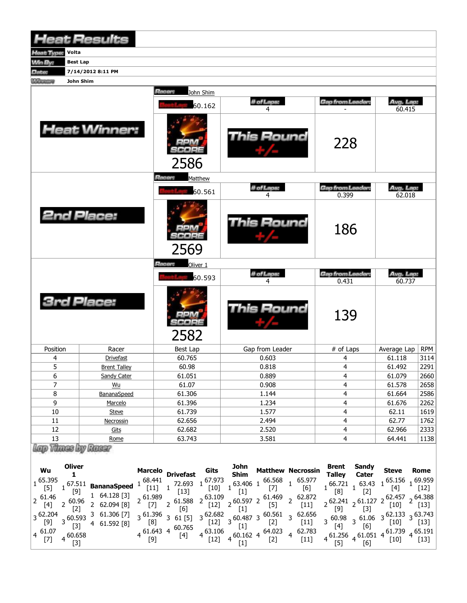|                              | <b>Heat Results</b>                                              |                                 |                                                                                                                                                           |                                                                                                        |                     |             |  |
|------------------------------|------------------------------------------------------------------|---------------------------------|-----------------------------------------------------------------------------------------------------------------------------------------------------------|--------------------------------------------------------------------------------------------------------|---------------------|-------------|--|
| leat Type:                   | Volta                                                            |                                 |                                                                                                                                                           |                                                                                                        |                     |             |  |
| <b>Win By:</b>               | <b>Best Lap</b>                                                  |                                 |                                                                                                                                                           |                                                                                                        |                     |             |  |
| Date:                        | 7/14/2012 8:11 PM                                                |                                 |                                                                                                                                                           |                                                                                                        |                     |             |  |
| <b><i><u>Mercine</u></i></b> | John Shim                                                        |                                 |                                                                                                                                                           |                                                                                                        |                     |             |  |
|                              |                                                                  | Racer:<br>John Shim<br>60.162   | # of Laps:<br>4                                                                                                                                           | <b>Gap from Leader:</b>                                                                                | Avg. Lap:<br>60.415 |             |  |
|                              | <b>Heat Winner:</b>                                              | 2586                            | This Round                                                                                                                                                | 228                                                                                                    |                     |             |  |
|                              |                                                                  | <i><b>Racer:</b></i><br>Matthew |                                                                                                                                                           |                                                                                                        |                     |             |  |
|                              |                                                                  | 60.561                          | # of Laps:<br>4                                                                                                                                           | <b>Gap from Leader:</b><br>0.399                                                                       | Avg. Lap:<br>62.018 |             |  |
|                              | <b>2nd Place:</b>                                                | 2569                            | This Round                                                                                                                                                | 186                                                                                                    |                     |             |  |
|                              |                                                                  | Racer:<br>Oliver 1              |                                                                                                                                                           |                                                                                                        |                     |             |  |
|                              |                                                                  | 60.593                          | # of Laps:<br>4                                                                                                                                           | <b>Gap from Leader:</b><br>0.431                                                                       | Avg. Lap:<br>60.737 |             |  |
| <b>Brd Place:</b>            |                                                                  | 2582                            | <b>This Round</b>                                                                                                                                         | 139                                                                                                    |                     |             |  |
| Position                     | Racer                                                            | <b>Best Lap</b>                 | Gap from Leader                                                                                                                                           | # of Laps                                                                                              | Average Lap         | <b>RPM</b>  |  |
| 4                            | <b>Drivefast</b>                                                 | 60.765                          | 0.603                                                                                                                                                     | 4                                                                                                      | 61.118              | 3114        |  |
| 5                            | <b>Brent Talley</b>                                              | 60.98                           | 0.818                                                                                                                                                     | 4                                                                                                      | 61.492              | 2291        |  |
| 6                            | <b>Sandy Cater</b>                                               | 61.051                          | 0.889                                                                                                                                                     | 4                                                                                                      | 61.079              | 2660        |  |
| $\overline{7}$               | Wu                                                               | 61.07                           | 0.908                                                                                                                                                     | 4                                                                                                      | 61.578              | 2658        |  |
| 8                            | BananaSpeed                                                      | 61.306                          | 1.144                                                                                                                                                     | 4                                                                                                      | 61.664              | 2586        |  |
| 9                            | Marcelo                                                          | 61.396                          | 1.234                                                                                                                                                     | 4                                                                                                      | 61.676              | 2262        |  |
| $10\,$                       | <b>Steve</b>                                                     | 61.739                          | 1.577                                                                                                                                                     | 4                                                                                                      | 62.11               | 1619        |  |
| 11                           | Necrossin                                                        | 62.656                          | 2.494                                                                                                                                                     | 4                                                                                                      | 62.77               | 1762        |  |
| 12                           | Gits                                                             | 62.682                          | 2.520                                                                                                                                                     | 4                                                                                                      | 62.966              | 2333        |  |
| 13                           | Rome                                                             | 63.743                          | 3.581                                                                                                                                                     | 4                                                                                                      | 64.441              | 1138        |  |
| Wu<br>$\frac{1}{1}$ 65.395   | Lap Thuss by Russ<br><b>Oliver</b><br>1<br>$167.511$ BananaSneed |                                 | John<br>Shim<br><b>Matthew Necrossin</b><br><b>Marcelo Drivefast Gits Shim Matthew Necrossin</b><br>1 68.441 1 72.693 1 67.973 1 63.406 1 65.568 1 65.977 | <b>Brent</b><br><b>Sandy</b><br><b>Talley</b><br>Cater<br>$166.721$ $163.43$ $1^{65.156}$ $1^{69.959}$ | <b>Steve</b>        | <b>Rome</b> |  |

|                                                                                                       |                      |                              | riarceiv             | <b>Drivefast</b>       | ww                            | <b>Shim</b>                |                 | Platticw Reciossil             | <b>Talley</b>                             | Cater       | しにして             | NUIIIT                      |
|-------------------------------------------------------------------------------------------------------|----------------------|------------------------------|----------------------|------------------------|-------------------------------|----------------------------|-----------------|--------------------------------|-------------------------------------------|-------------|------------------|-----------------------------|
| 65.395<br>$[5]$                                                                                       | [9]                  | $167.511$ BananaSpeed        | 68.441<br>$[11]$     | 72.693<br>[13]         | 67.973<br>$[10]$              | 63.406 1                   | 66.568          | 65.977<br>[6]                  | 66.721<br>[8]                             | 63.43       | 65.156           | 69.959<br>$[12]$            |
| , 61.46<br>$[4] % \includegraphics[width=0.9\columnwidth]{figures/fig_4} \caption{A=}\label{fig:2} %$ | $\sim 60.96$         | 64.128 [3]<br>2 62.094 [8]   | 0.61.989             | 61.588<br>[6]          | $2^{63.109}$<br>$[12]$        | 0.5972                     | 61.469<br>$[5]$ | 2.872<br>[11]                  | $0.62.241$ , 61.127 2<br>$[9]$            |             | [10]             | $62.457 - 64.388$<br>$[13]$ |
| $3^{62.204}$                                                                                          | 0.593<br>[3]         | 3 61.306 [7]<br>4 61.592 [8] | $\sim 61.396$<br>[8] | 361[5]                 | $3^{62.682}$<br>[12]          | 360.4873                   | 60.561<br>$[2]$ | $\frac{1}{3}$ 62.656<br>$[11]$ | $3\frac{60.98}{543}$<br>[4]               | $, 61.06$ 3 | 62.133<br>[10]   | $-63.743$<br>[13]           |
| $4\frac{61.07}{r}$<br>$[7]$                                                                           | $4\frac{60.658}{52}$ |                              | [9]                  | 61.643 4 60.765<br>[4] | $4\frac{63.106}{1}$<br>$[12]$ | 60.162 4<br>$\overline{4}$ | 64.023<br>$[2]$ | 62.783<br>4<br>$[11]$          | $4\overline{)61.256}$ 4 61.051 4<br>$[5]$ | [6]         | 61.739<br>$[10]$ | 65.191<br>$[13]$            |